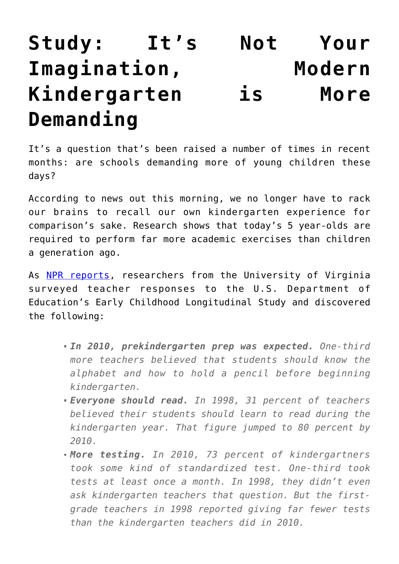## **[Study: It's Not Your](https://intellectualtakeout.org/2016/01/study-its-not-your-imagination-modern-kindergarten-is-more-demanding/) [Imagination, Modern](https://intellectualtakeout.org/2016/01/study-its-not-your-imagination-modern-kindergarten-is-more-demanding/) [Kindergarten is More](https://intellectualtakeout.org/2016/01/study-its-not-your-imagination-modern-kindergarten-is-more-demanding/) [Demanding](https://intellectualtakeout.org/2016/01/study-its-not-your-imagination-modern-kindergarten-is-more-demanding/)**

It's a question that's been raised a number of times in recent months: are schools demanding more of young children these days?

According to news out this morning, we no longer have to rack our brains to recall our own kindergarten experience for comparison's sake. Research shows that today's 5 year-olds are required to perform far more academic exercises than children a generation ago.

As [NPR reports,](http://www.npr.org/sections/ed/2016/01/08/462279629/why-kindergarten-is-the-new-first-grade?utm_medium=RSS&utm_campaign=education) researchers from the University of Virginia surveyed teacher responses to the U.S. Department of Education's Early Childhood Longitudinal Study and discovered the following:

- *In 2010, prekindergarten prep was expected. One-third more teachers believed that students should know the alphabet and how to hold a pencil before beginning kindergarten.*
- *Everyone should read. In 1998, 31 percent of teachers believed their students should learn to read during the kindergarten year. That figure jumped to 80 percent by 2010.*
- *More testing. In 2010, 73 percent of kindergartners took some kind of standardized test. One-third took tests at least once a month. In 1998, they didn't even ask kindergarten teachers that question. But the firstgrade teachers in 1998 reported giving far fewer tests than the kindergarten teachers did in 2010.*